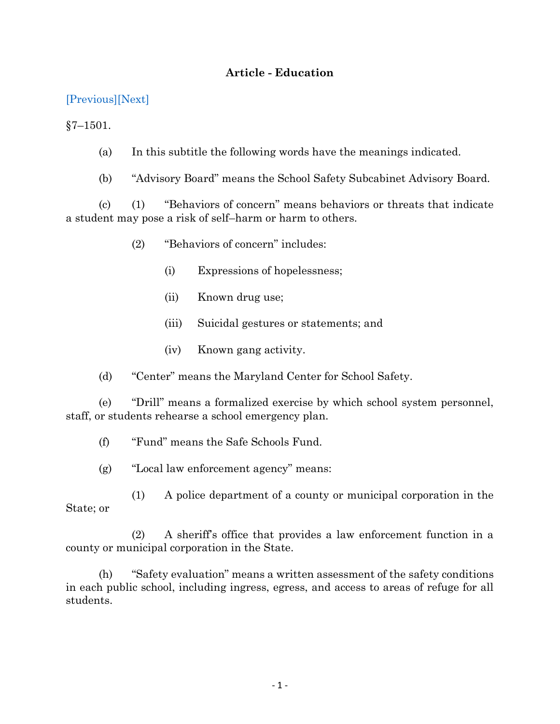## **Article - Education**

[\[Previous\]](http://mgaleg.maryland.gov/2021RS/Statute_Web/ged/7-1408.pdf)[\[Next\]](http://mgaleg.maryland.gov/2021RS/Statute_Web/ged/7-1502.pdf)

 $§7 - 1501.$ 

- (a) In this subtitle the following words have the meanings indicated.
- (b) "Advisory Board" means the School Safety Subcabinet Advisory Board.

(c) (1) "Behaviors of concern" means behaviors or threats that indicate a student may pose a risk of self–harm or harm to others.

- (2) "Behaviors of concern" includes:
	- (i) Expressions of hopelessness;
	- (ii) Known drug use;
	- (iii) Suicidal gestures or statements; and
	- (iv) Known gang activity.

(d) "Center" means the Maryland Center for School Safety.

(e) "Drill" means a formalized exercise by which school system personnel, staff, or students rehearse a school emergency plan.

(f) "Fund" means the Safe Schools Fund.

(g) "Local law enforcement agency" means:

(1) A police department of a county or municipal corporation in the State; or

(2) A sheriff's office that provides a law enforcement function in a county or municipal corporation in the State.

(h) "Safety evaluation" means a written assessment of the safety conditions in each public school, including ingress, egress, and access to areas of refuge for all students.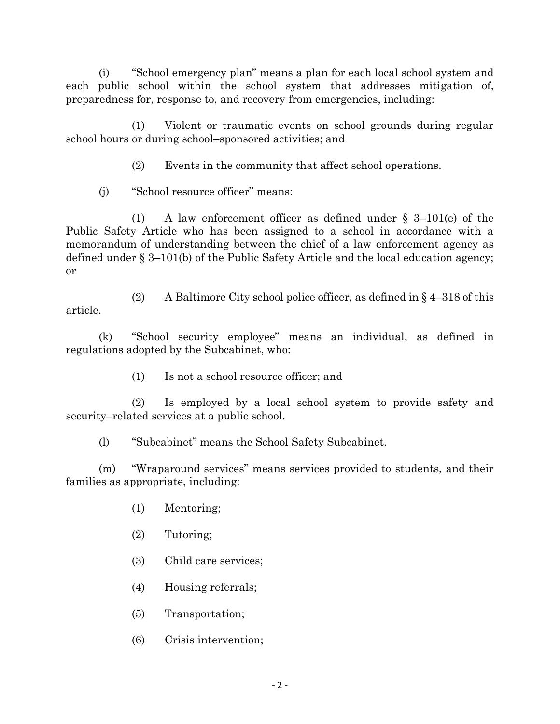(i) "School emergency plan" means a plan for each local school system and each public school within the school system that addresses mitigation of, preparedness for, response to, and recovery from emergencies, including:

(1) Violent or traumatic events on school grounds during regular school hours or during school–sponsored activities; and

(2) Events in the community that affect school operations.

(j) "School resource officer" means:

(1) A law enforcement officer as defined under § 3–101(e) of the Public Safety Article who has been assigned to a school in accordance with a memorandum of understanding between the chief of a law enforcement agency as defined under § 3–101(b) of the Public Safety Article and the local education agency; or

(2) A Baltimore City school police officer, as defined in  $\S$  4–318 of this article.

(k) "School security employee" means an individual, as defined in regulations adopted by the Subcabinet, who:

(1) Is not a school resource officer; and

(2) Is employed by a local school system to provide safety and security–related services at a public school.

(l) "Subcabinet" means the School Safety Subcabinet.

(m) "Wraparound services" means services provided to students, and their families as appropriate, including:

- (1) Mentoring;
- (2) Tutoring;
- (3) Child care services;
- (4) Housing referrals;
- (5) Transportation;
- (6) Crisis intervention;